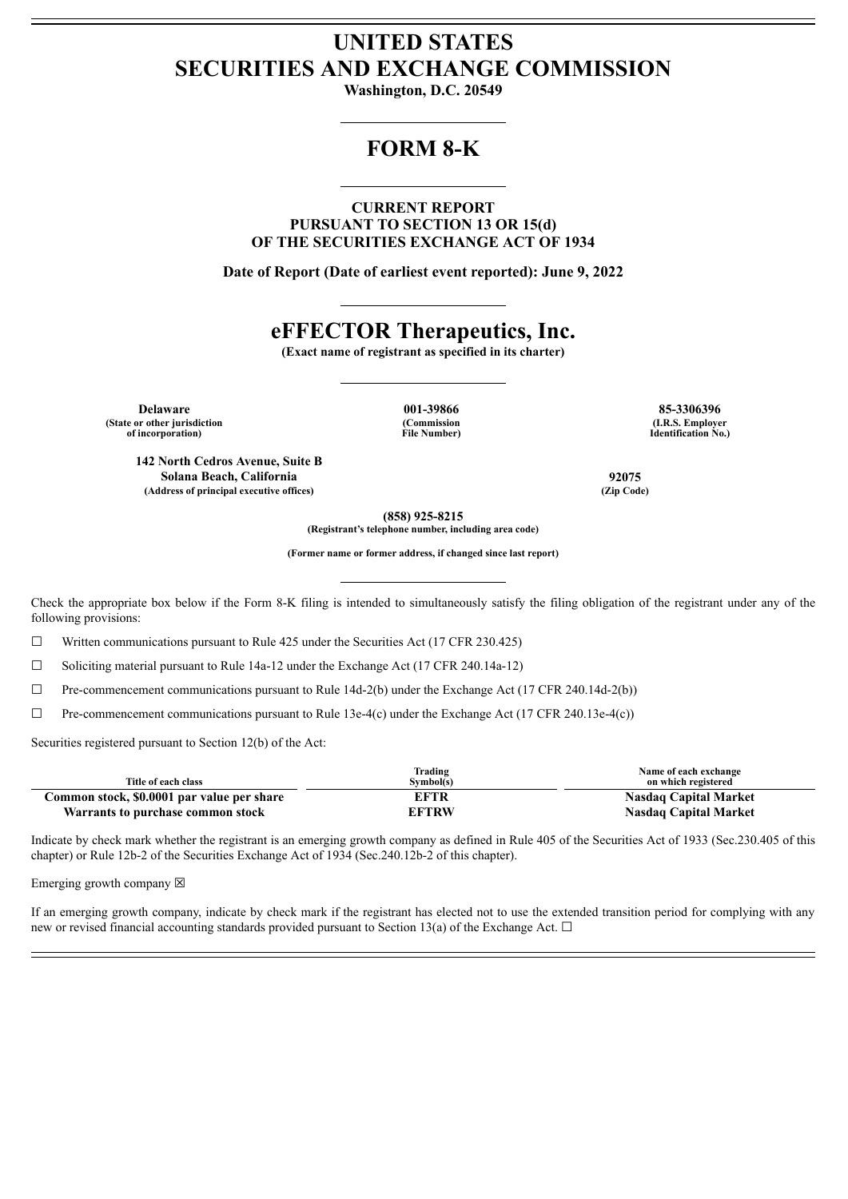## **UNITED STATES SECURITIES AND EXCHANGE COMMISSION**

**Washington, D.C. 20549**

## **FORM 8-K**

**CURRENT REPORT PURSUANT TO SECTION 13 OR 15(d) OF THE SECURITIES EXCHANGE ACT OF 1934**

**Date of Report (Date of earliest event reported): June 9, 2022**

## **eFFECTOR Therapeutics, Inc.**

**(Exact name of registrant as specified in its charter)**

**Delaware 001-39866 85-3306396 (State or other jurisdiction of incorporation)**

**(Commission File Number)**

**(I.R.S. Employer Identification No.)**

**142 North Cedros Avenue, Suite B Solana Beach, California 92075 (Address of principal executive offices) (Zip Code)**

**(858) 925-8215**

**(Registrant's telephone number, including area code)**

**(Former name or former address, if changed since last report)**

Check the appropriate box below if the Form 8-K filing is intended to simultaneously satisfy the filing obligation of the registrant under any of the following provisions:

 $\Box$  Written communications pursuant to Rule 425 under the Securities Act (17 CFR 230.425)

☐ Soliciting material pursuant to Rule 14a-12 under the Exchange Act (17 CFR 240.14a-12)

 $\Box$  Pre-commencement communications pursuant to Rule 14d-2(b) under the Exchange Act (17 CFR 240.14d-2(b))

 $\Box$  Pre-commencement communications pursuant to Rule 13e-4(c) under the Exchange Act (17 CFR 240.13e-4(c))

Securities registered pursuant to Section 12(b) of the Act:

| Title of each class                        | Trading<br>Symbol(s) | Name of each exchange<br>on which registered |
|--------------------------------------------|----------------------|----------------------------------------------|
| Common stock, \$0.0001 par value per share | EFTR                 | <b>Nasdaq Capital Market</b>                 |
| Warrants to purchase common stock          | <b>EFTRW</b>         | <b>Nasdaq Capital Market</b>                 |

Indicate by check mark whether the registrant is an emerging growth company as defined in Rule 405 of the Securities Act of 1933 (Sec.230.405 of this chapter) or Rule 12b-2 of the Securities Exchange Act of 1934 (Sec.240.12b-2 of this chapter).

Emerging growth company  $\boxtimes$ 

If an emerging growth company, indicate by check mark if the registrant has elected not to use the extended transition period for complying with any new or revised financial accounting standards provided pursuant to Section 13(a) of the Exchange Act.  $\Box$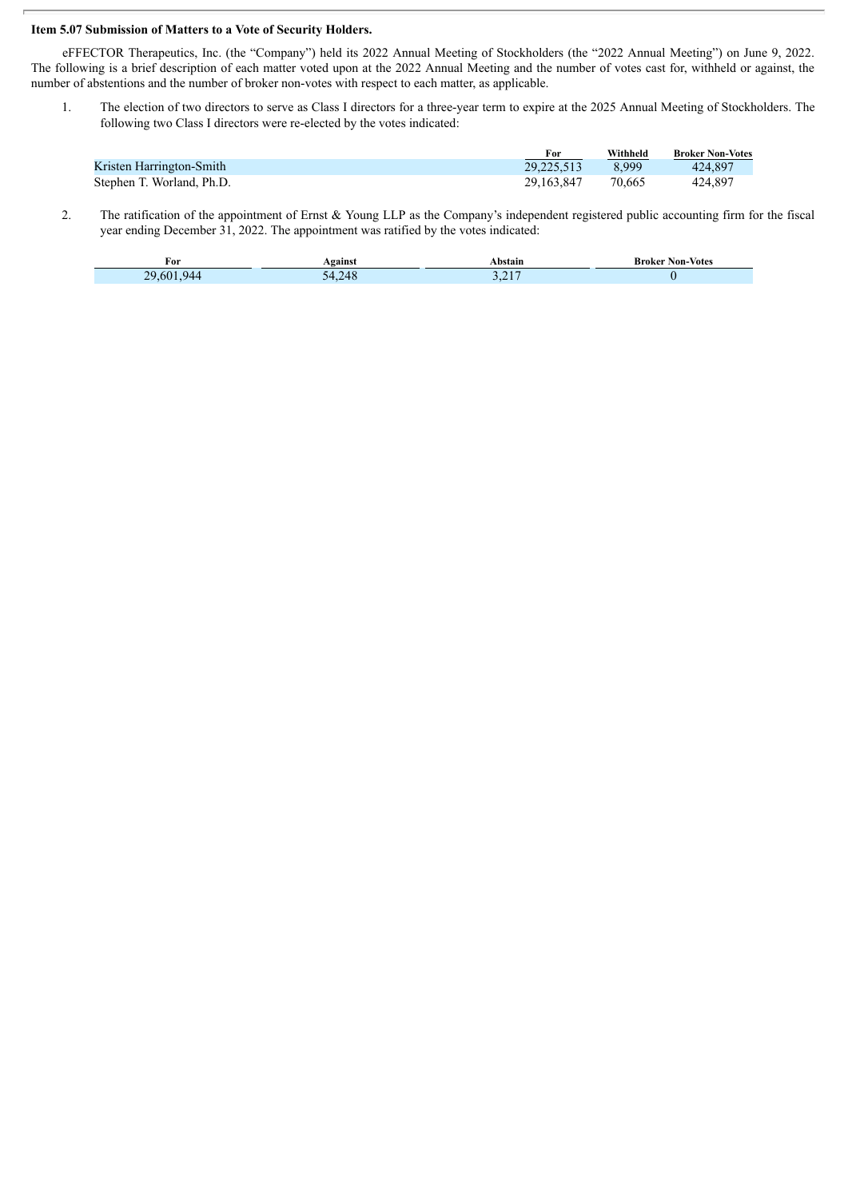## **Item 5.07 Submission of Matters to a Vote of Security Holders.**

I

eFFECTOR Therapeutics, Inc. (the "Company") held its 2022 Annual Meeting of Stockholders (the "2022 Annual Meeting") on June 9, 2022. The following is a brief description of each matter voted upon at the 2022 Annual Meeting and the number of votes cast for, withheld or against, the number of abstentions and the number of broker non-votes with respect to each matter, as applicable.

1. The election of two directors to serve as Class I directors for a three-year term to expire at the 2025 Annual Meeting of Stockholders. The following two Class I directors were re-elected by the votes indicated:

|                           | For          | Withheld | <b>Broker Non-Votes</b> |
|---------------------------|--------------|----------|-------------------------|
| Kristen Harrington-Smith  | 29.225.513   | 8999     | 424.897                 |
| Stephen T. Worland, Ph.D. | 29, 163, 847 | 70.665   | 424,897                 |

2. The ratification of the appointment of Ernst & Young LLP as the Company's independent registered public accounting firm for the fiscal year ending December 31, 2022. The appointment was ratified by the votes indicated:

| ror                    | <b>\gainst</b>       | <b>.bstain</b>             | <b>Non-Votes</b><br>Broker |
|------------------------|----------------------|----------------------------|----------------------------|
| <b>PO</b><br>60<br>944 | $\Delta$<br>14><br>. | $\bigcap$ 1 $\bigcap$<br>. |                            |